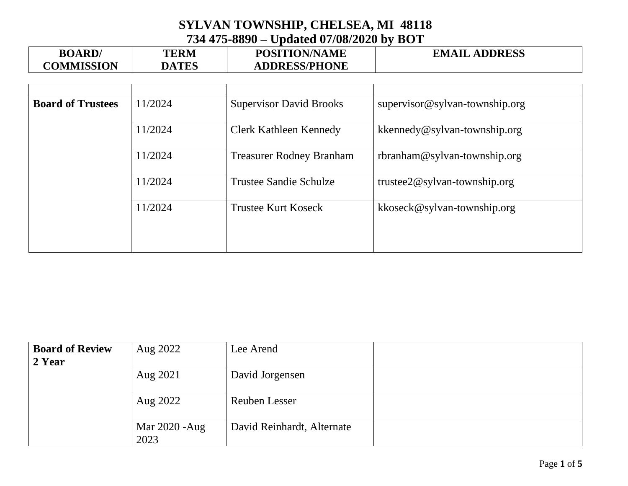| <b>BOARD</b>      | <b>TERM</b>  | <b>POSITION/NAME</b> | <b>EMAIL ADDRESS</b> |
|-------------------|--------------|----------------------|----------------------|
| <b>COMMISSION</b> | <b>DATES</b> | <b>ADDRESS/PHONE</b> |                      |

| <b>Board of Trustees</b> | 11/2024 | <b>Supervisor David Brooks</b>  | supervisor@sylvan-township.org |
|--------------------------|---------|---------------------------------|--------------------------------|
|                          | 11/2024 | <b>Clerk Kathleen Kennedy</b>   | kkennedy@sylvan-township.org   |
|                          | 11/2024 | <b>Treasurer Rodney Branham</b> | $rbranham@sylvan-township.org$ |
|                          | 11/2024 | <b>Trustee Sandie Schulze</b>   | trustee2@sylvan-township.org   |
|                          | 11/2024 | <b>Trustee Kurt Koseck</b>      | kkoseck@sylvan-township.org    |
|                          |         |                                 |                                |

| <b>Board of Review</b><br>2 Year | Aug 2022               | Lee Arend                  |  |
|----------------------------------|------------------------|----------------------------|--|
|                                  | Aug 2021               | David Jorgensen            |  |
|                                  | Aug 2022               | Reuben Lesser              |  |
|                                  | Mar 2020 - Aug<br>2023 | David Reinhardt, Alternate |  |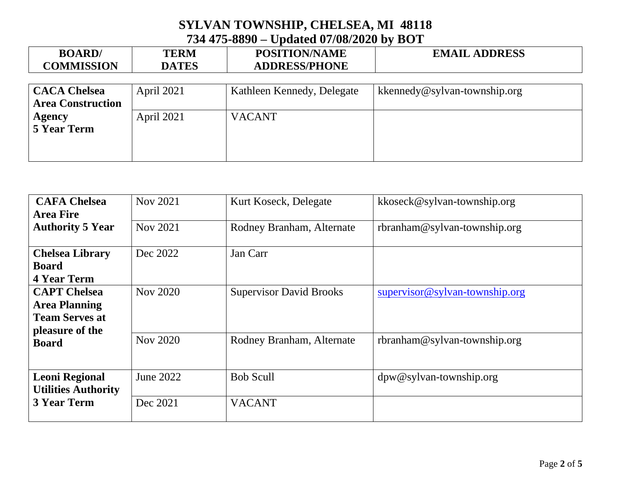| <b>BOARD</b>             | <b>TERM</b>       | <b>POSITION/NAME</b>       | <b>EMAIL ADDRESS</b>         |
|--------------------------|-------------------|----------------------------|------------------------------|
| <b>COMMISSION</b>        | <b>DATES</b>      | <b>ADDRESS/PHONE</b>       |                              |
|                          |                   |                            |                              |
| <b>CACA Chelsea</b>      | <b>April 2021</b> | Kathleen Kennedy, Delegate | kkennedy@sylvan-township.org |
| <b>Area Construction</b> |                   |                            |                              |
| <b>Agency</b>            | <b>April 2021</b> | <b>VACANT</b>              |                              |

**5 Year Term**

| <b>CAFA Chelsea</b>        | Nov 2021  | Kurt Koseck, Delegate          | kkoseck@sylvan-township.org    |
|----------------------------|-----------|--------------------------------|--------------------------------|
| <b>Area Fire</b>           |           |                                |                                |
| <b>Authority 5 Year</b>    | Nov 2021  | Rodney Branham, Alternate      | $rbranham@sylvan-township.org$ |
| <b>Chelsea Library</b>     | Dec 2022  | Jan Carr                       |                                |
| <b>Board</b>               |           |                                |                                |
| <b>4 Year Term</b>         |           |                                |                                |
| <b>CAPT</b> Chelsea        | Nov 2020  | <b>Supervisor David Brooks</b> | supervisor@sylvan-township.org |
| <b>Area Planning</b>       |           |                                |                                |
| <b>Team Serves at</b>      |           |                                |                                |
| pleasure of the            |           |                                |                                |
| <b>Board</b>               | Nov 2020  | Rodney Branham, Alternate      | $rbranham@sylvan-township.org$ |
| <b>Leoni Regional</b>      | June 2022 | <b>Bob Scull</b>               | $dpw@sylvan-township.org$      |
| <b>Utilities Authority</b> |           |                                |                                |
| <b>3 Year Term</b>         | Dec 2021  | <b>VACANT</b>                  |                                |
|                            |           |                                |                                |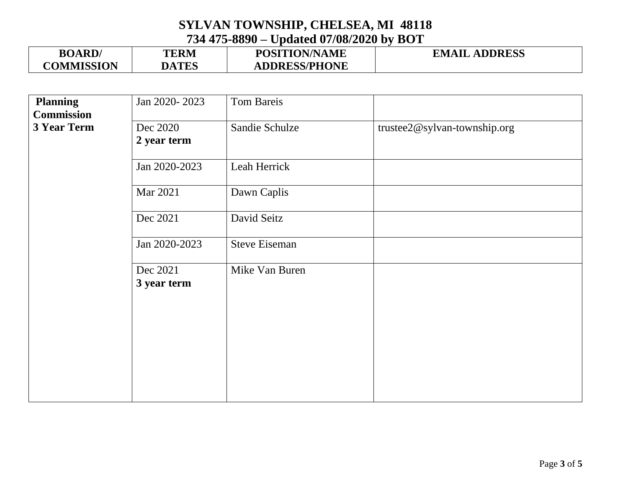| <b>BOARD</b>      | TERM         | <b>POSITION/NAME</b> | <b>EMAIL ADDRESS</b> |
|-------------------|--------------|----------------------|----------------------|
| <b>COMMISSION</b> | <b>DATES</b> | <b>ADDRESS/PHONE</b> |                      |

| <b>Planning</b>   | Jan 2020-2023 | Tom Bareis           |                              |
|-------------------|---------------|----------------------|------------------------------|
| <b>Commission</b> |               |                      |                              |
| 3 Year Term       | Dec 2020      | Sandie Schulze       | trustee2@sylvan-township.org |
|                   | 2 year term   |                      |                              |
|                   |               |                      |                              |
|                   | Jan 2020-2023 | Leah Herrick         |                              |
|                   | Mar 2021      | Dawn Caplis          |                              |
|                   |               |                      |                              |
|                   | Dec 2021      | David Seitz          |                              |
|                   |               |                      |                              |
|                   | Jan 2020-2023 | <b>Steve Eiseman</b> |                              |
|                   | Dec 2021      | Mike Van Buren       |                              |
|                   | 3 year term   |                      |                              |
|                   |               |                      |                              |
|                   |               |                      |                              |
|                   |               |                      |                              |
|                   |               |                      |                              |
|                   |               |                      |                              |
|                   |               |                      |                              |
|                   |               |                      |                              |
|                   |               |                      |                              |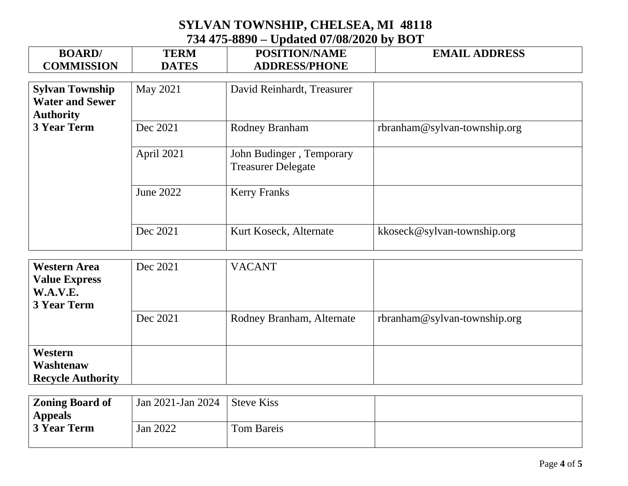| <b>BOARD</b><br><b>COMMISSION</b>                | <b>TERM</b><br><b>DATES</b> | <b>POSITION/NAME</b><br><b>ADDRESS/PHONE</b>          | <b>EMAIL ADDRESS</b>         |
|--------------------------------------------------|-----------------------------|-------------------------------------------------------|------------------------------|
|                                                  |                             |                                                       |                              |
| <b>Sylvan Township</b><br><b>Water and Sewer</b> | May 2021                    | David Reinhardt, Treasurer                            |                              |
| <b>Authority</b>                                 |                             |                                                       |                              |
| <b>3 Year Term</b>                               | Dec 2021                    | <b>Rodney Branham</b>                                 | rbranham@sylvan-township.org |
|                                                  | April 2021                  | John Budinger, Temporary<br><b>Treasurer Delegate</b> |                              |
|                                                  | June 2022                   | <b>Kerry Franks</b>                                   |                              |
|                                                  | Dec 2021                    | Kurt Koseck, Alternate                                | kkoseck@sylvan-township.org  |

| <b>Western Area</b>      | Dec 2021 | <b>VACANT</b>             |                                |
|--------------------------|----------|---------------------------|--------------------------------|
| <b>Value Express</b>     |          |                           |                                |
| W.A.V.E.                 |          |                           |                                |
| <b>3 Year Term</b>       |          |                           |                                |
|                          | Dec 2021 | Rodney Branham, Alternate | $rbranham@sylvan-township.org$ |
|                          |          |                           |                                |
|                          |          |                           |                                |
| Western                  |          |                           |                                |
| Washtenaw                |          |                           |                                |
| <b>Recycle Authority</b> |          |                           |                                |

| <b>Zoning Board of</b> | $\frac{1}{2}$ Jan 2021-Jan 2024   Steve Kiss |            |  |
|------------------------|----------------------------------------------|------------|--|
| <b>Appeals</b>         |                                              |            |  |
| 3 Year Term            | Jan 2022                                     | Tom Bareis |  |
|                        |                                              |            |  |